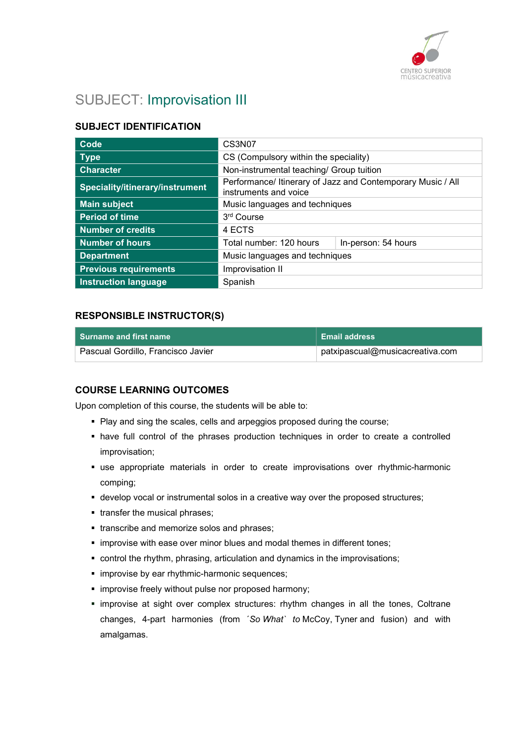

# SUBJECT: Improvisation III

### SUBJECT IDENTIFICATION

| Code                            | CS3N07                                                                               |                     |
|---------------------------------|--------------------------------------------------------------------------------------|---------------------|
| <b>Type</b>                     | CS (Compulsory within the speciality)                                                |                     |
| <b>Character</b>                | Non-instrumental teaching/ Group tuition                                             |                     |
| Speciality/itinerary/instrument | Performance/ Itinerary of Jazz and Contemporary Music / All<br>instruments and voice |                     |
| <b>Main subject</b>             | Music languages and techniques                                                       |                     |
| <b>Period of time</b>           | 3rd Course                                                                           |                     |
| <b>Number of credits</b>        | 4 ECTS                                                                               |                     |
| <b>Number of hours</b>          | Total number: 120 hours                                                              | In-person: 54 hours |
| <b>Department</b>               | Music languages and techniques                                                       |                     |
| <b>Previous requirements</b>    | Improvisation II                                                                     |                     |
| <b>Instruction language</b>     | Spanish                                                                              |                     |

#### RESPONSIBLE INSTRUCTOR(S)

| l  Surname and first name          | ∣ Email address                 |
|------------------------------------|---------------------------------|
| Pascual Gordillo, Francisco Javier | patxipascual@musicacreativa.com |

### COURSE LEARNING OUTCOMES

Upon completion of this course, the students will be able to:

- Play and sing the scales, cells and arpeggios proposed during the course;
- have full control of the phrases production techniques in order to create a controlled improvisation;
- use appropriate materials in order to create improvisations over rhythmic-harmonic comping;
- develop vocal or instrumental solos in a creative way over the proposed structures;
- **transfer the musical phrases;**
- transcribe and memorize solos and phrases;
- **Indergovise with ease over minor blues and modal themes in different tones;**
- control the rhythm, phrasing, articulation and dynamics in the improvisations;
- **·** improvise by ear rhythmic-harmonic sequences;
- **·** improvise freely without pulse nor proposed harmony;
- improvise at sight over complex structures: rhythm changes in all the tones, Coltrane changes, 4-part harmonies (from ´So What` to McCoy, Tyner and fusion) and with amalgamas.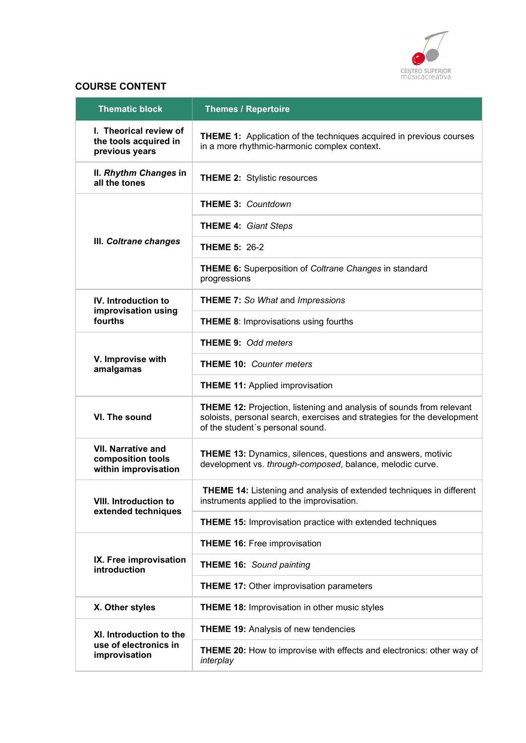

### COURSE CONTENT

| <b>Thematic block</b>                                                  | <b>Themes / Repertoire</b>                                                                                                                                                                 |
|------------------------------------------------------------------------|--------------------------------------------------------------------------------------------------------------------------------------------------------------------------------------------|
| I. Theorical review of<br>the tools acquired in<br>previous years      | <b>THEME 1:</b> Application of the techniques acquired in previous courses<br>in a more rhythmic-harmonic complex context.                                                                 |
| II. Rhythm Changes in<br>all the tones                                 | <b>THEME 2: Stylistic resources</b>                                                                                                                                                        |
|                                                                        | <b>THEME 3: Countdown</b>                                                                                                                                                                  |
|                                                                        | <b>THEME 4: Giant Steps</b>                                                                                                                                                                |
| III. Coltrane changes                                                  | <b>THEME 5: 26-2</b>                                                                                                                                                                       |
|                                                                        | <b>THEME 6:</b> Superposition of Coltrane Changes in standard<br>progressions                                                                                                              |
| <b>IV.</b> Introduction to<br>improvisation using                      | <b>THEME 7: So What and Impressions</b>                                                                                                                                                    |
| fourths                                                                | <b>THEME 8: Improvisations using fourths</b>                                                                                                                                               |
|                                                                        | <b>THEME 9: Odd meters</b>                                                                                                                                                                 |
| V. Improvise with<br>amalgamas                                         | <b>THEME 10: Counter meters</b>                                                                                                                                                            |
|                                                                        | <b>THEME 11: Applied improvisation</b>                                                                                                                                                     |
| VI. The sound                                                          | <b>THEME 12: Projection, listening and analysis of sounds from relevant</b><br>soloists, personal search, exercises and strategies for the development<br>of the student's personal sound. |
| <b>VII. Narrative and</b><br>composition tools<br>within improvisation | <b>THEME 13: Dynamics, silences, questions and answers, motivic</b><br>development vs. through-composed, balance, melodic curve.                                                           |
| <b>VIII. Introduction to</b><br>extended techniques                    | <b>THEME 14:</b> Listening and analysis of extended techniques in different<br>instruments applied to the improvisation.                                                                   |
|                                                                        | <b>THEME 15: Improvisation practice with extended techniques</b>                                                                                                                           |
|                                                                        | <b>THEME 16: Free improvisation</b>                                                                                                                                                        |
| IX. Free improvisation<br>introduction                                 | <b>THEME 16: Sound painting</b>                                                                                                                                                            |
|                                                                        | <b>THEME 17: Other improvisation parameters</b>                                                                                                                                            |
| X. Other styles                                                        | <b>THEME 18: Improvisation in other music styles</b>                                                                                                                                       |
| XI. Introduction to the                                                | <b>THEME 19: Analysis of new tendencies</b>                                                                                                                                                |
| use of electronics in<br>improvisation                                 | <b>THEME 20:</b> How to improvise with effects and electronics: other way of<br>interplay                                                                                                  |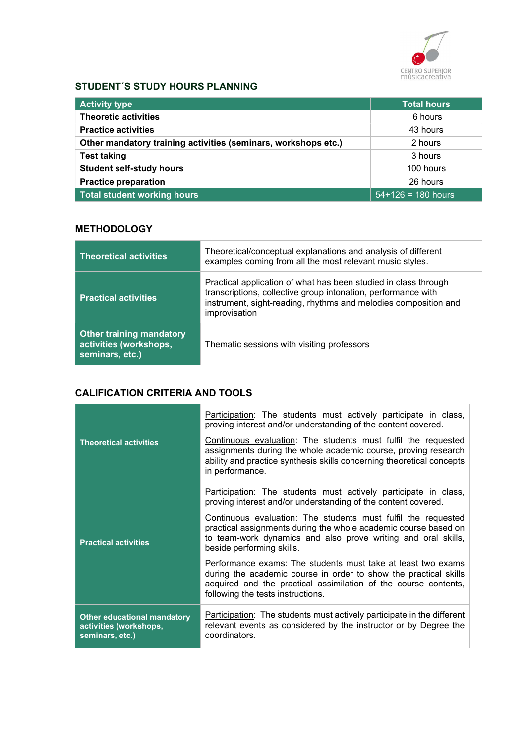

### STUDENT´S STUDY HOURS PLANNING

| <b>Activity type</b>                                           | Total hours          |
|----------------------------------------------------------------|----------------------|
| <b>Theoretic activities</b>                                    | 6 hours              |
| <b>Practice activities</b>                                     | 43 hours             |
| Other mandatory training activities (seminars, workshops etc.) | 2 hours              |
| <b>Test taking</b>                                             | 3 hours              |
| <b>Student self-study hours</b>                                | 100 hours            |
| <b>Practice preparation</b>                                    | 26 hours             |
| <b>Total student working hours</b>                             | $54+126 = 180$ hours |

### **METHODOLOGY**

| <b>Theoretical activities</b>                                                | Theoretical/conceptual explanations and analysis of different<br>examples coming from all the most relevant music styles.                                                                                            |
|------------------------------------------------------------------------------|----------------------------------------------------------------------------------------------------------------------------------------------------------------------------------------------------------------------|
| <b>Practical activities</b>                                                  | Practical application of what has been studied in class through<br>transcriptions, collective group intonation, performance with<br>instrument, sight-reading, rhythms and melodies composition and<br>improvisation |
| <b>Other training mandatory</b><br>activities (workshops,<br>seminars, etc.) | Thematic sessions with visiting professors                                                                                                                                                                           |

### CALIFICATION CRITERIA AND TOOLS

| <b>Theoretical activities</b>                                                   | Participation: The students must actively participate in class,<br>proving interest and/or understanding of the content covered.<br>Continuous evaluation: The students must fulfil the requested<br>assignments during the whole academic course, proving research<br>ability and practice synthesis skills concerning theoretical concepts<br>in performance. |
|---------------------------------------------------------------------------------|-----------------------------------------------------------------------------------------------------------------------------------------------------------------------------------------------------------------------------------------------------------------------------------------------------------------------------------------------------------------|
|                                                                                 | Participation: The students must actively participate in class,<br>proving interest and/or understanding of the content covered.                                                                                                                                                                                                                                |
| <b>Practical activities</b>                                                     | Continuous evaluation: The students must fulfil the requested<br>practical assignments during the whole academic course based on<br>to team-work dynamics and also prove writing and oral skills,<br>beside performing skills.                                                                                                                                  |
|                                                                                 | Performance exams: The students must take at least two exams<br>during the academic course in order to show the practical skills<br>acquired and the practical assimilation of the course contents,<br>following the tests instructions.                                                                                                                        |
| <b>Other educational mandatory</b><br>activities (workshops,<br>seminars, etc.) | <b>Participation:</b> The students must actively participate in the different<br>relevant events as considered by the instructor or by Degree the<br>coordinators.                                                                                                                                                                                              |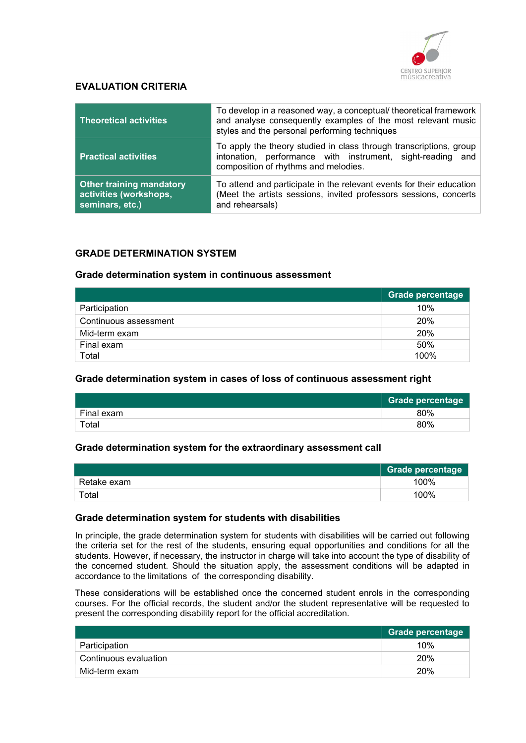

### EVALUATION CRITERIA

| <b>Theoretical activities</b>                                                | To develop in a reasoned way, a conceptual/ theoretical framework<br>and analyse consequently examples of the most relevant music<br>styles and the personal performing techniques |  |
|------------------------------------------------------------------------------|------------------------------------------------------------------------------------------------------------------------------------------------------------------------------------|--|
| <b>Practical activities</b>                                                  | To apply the theory studied in class through transcriptions, group<br>intonation, performance with instrument, sight-reading and<br>composition of rhythms and melodies.           |  |
| <b>Other training mandatory</b><br>activities (workshops,<br>seminars, etc.) | To attend and participate in the relevant events for their education<br>(Meet the artists sessions, invited professors sessions, concerts<br>and rehearsals)                       |  |

#### GRADE DETERMINATION SYSTEM

#### Grade determination system in continuous assessment

|                       | Grade percentage |
|-----------------------|------------------|
| Participation         | 10%              |
| Continuous assessment | 20%              |
| Mid-term exam         | 20%              |
| Final exam            | 50%              |
| Total                 | 100%             |

#### Grade determination system in cases of loss of continuous assessment right

|             | <b>Grade percentage</b> |
|-------------|-------------------------|
| Final exam  | 80%                     |
| $\tau$ otal | 80%                     |

#### Grade determination system for the extraordinary assessment call

|             | <b>Grade percentage</b> |
|-------------|-------------------------|
| Retake exam | 100%                    |
| Total       | 100%                    |

#### Grade determination system for students with disabilities

In principle, the grade determination system for students with disabilities will be carried out following the criteria set for the rest of the students, ensuring equal opportunities and conditions for all the students. However, if necessary, the instructor in charge will take into account the type of disability of the concerned student. Should the situation apply, the assessment conditions will be adapted in accordance to the limitations of the corresponding disability.

These considerations will be established once the concerned student enrols in the corresponding courses. For the official records, the student and/or the student representative will be requested to present the corresponding disability report for the official accreditation.

|                       | Grade percentage |
|-----------------------|------------------|
| Participation         | 10%              |
| Continuous evaluation | 20%              |
| Mid-term exam         | 20%              |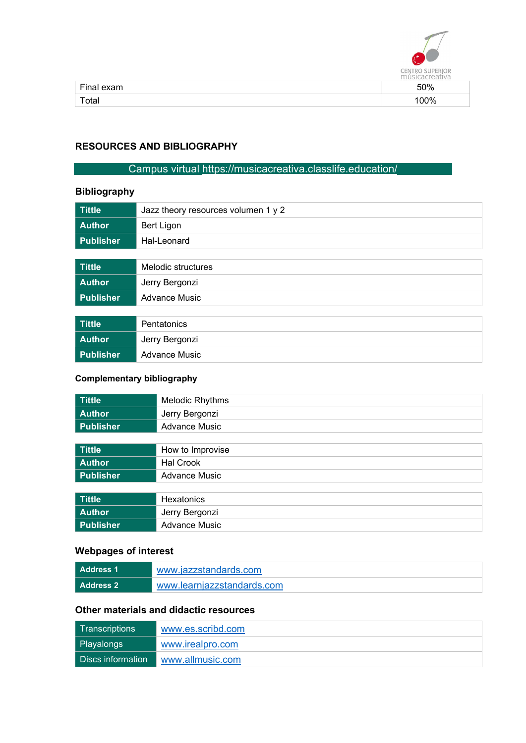

| Final exam | 50% |
|------------|-----|
| Total      | 00% |
|            |     |

### RESOURCES AND BIBLIOGRAPHY

### Campus virtual https://musicacreativa.classlife.education/

### Bibliography

| <b>Tittle</b> | Jazz theory resources volumen 1 y 2 |  |
|---------------|-------------------------------------|--|
| <b>Author</b> | Bert Ligon                          |  |
| Publisher     | Hal-Leonard                         |  |
|               |                                     |  |
| <b>Tittle</b> | Melodic structures                  |  |
| <b>Author</b> | Jerry Bergonzi                      |  |
| Publisher     | <b>Advance Music</b>                |  |

| Tittle        | Pentatonics    |
|---------------|----------------|
| <b>Author</b> | Jerry Bergonzi |
| Publisher     | Advance Music  |

### Complementary bibliography

| <b>Tittle</b>    | Melodic Rhythms      |
|------------------|----------------------|
| <b>Author</b>    | Jerry Bergonzi       |
| <b>Publisher</b> | <b>Advance Music</b> |
|                  |                      |
| <b>Tittle</b>    | How to Improvise     |
| <b>Author</b>    | <b>Hal Crook</b>     |
| <b>Publisher</b> | <b>Advance Music</b> |
|                  |                      |
| <b>Tittle</b>    | Hexatonics           |
| <b>Author</b>    | Jerry Bergonzi       |
| <b>Publisher</b> | Advance Music        |

## Webpages of interest

| <b>Address 1</b> | www.iazzstandards.com      |
|------------------|----------------------------|
| <b>Address 2</b> | www.learnjazzstandards.com |

# Other materials and didactic resources

| l Transcriptions l    | www.es.scribd.com |
|-----------------------|-------------------|
| Playalongs            | www.irealpro.com  |
| l Discs information l | www.allmusic.com  |